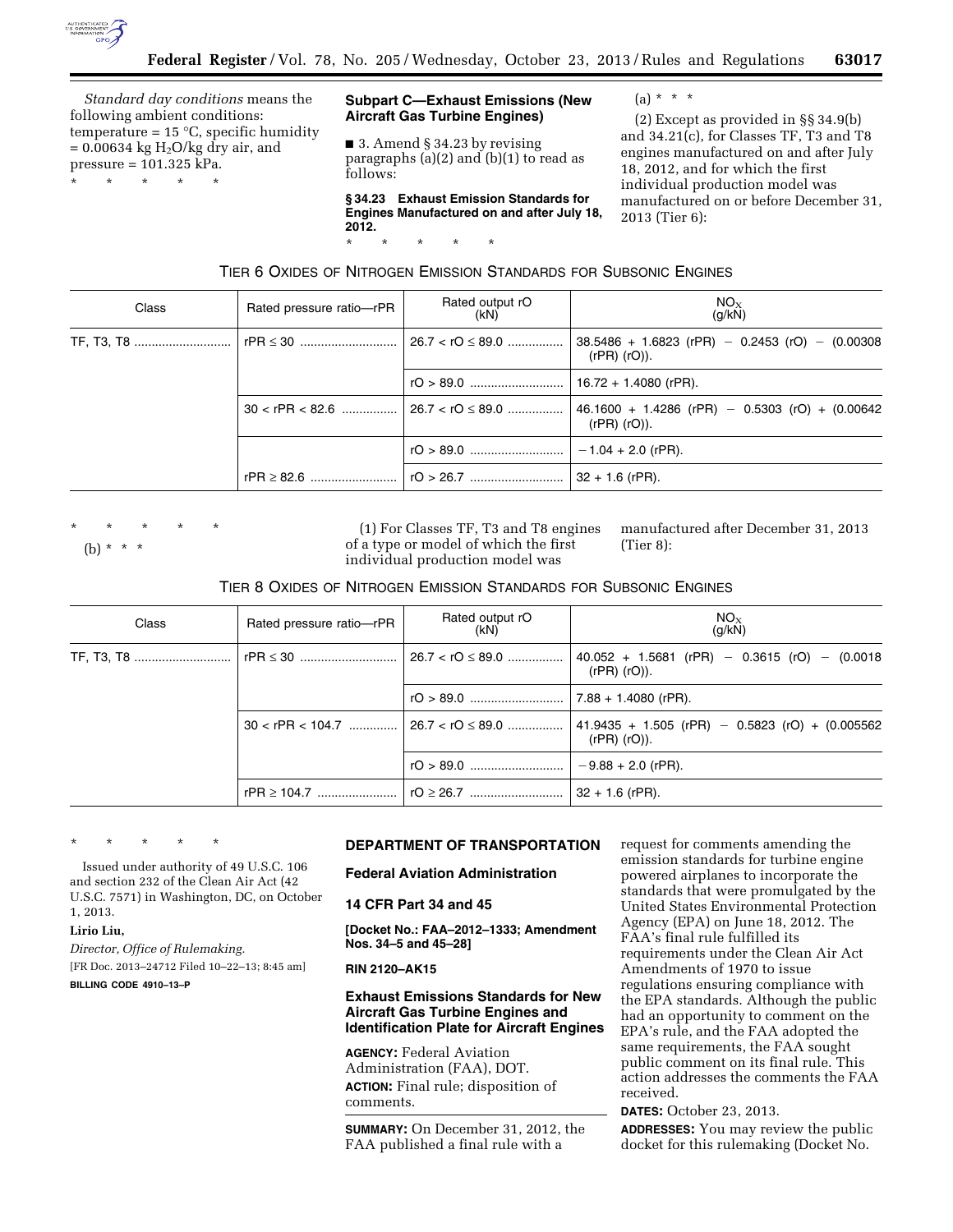

*Standard day conditions* means the following ambient conditions: temperature =  $15 \text{ °C}$ , specific humidity  $= 0.00634$  kg H<sub>2</sub>O/kg dry air, and pressure = 101.325 kPa.

\* \* \* \* \*

## **Subpart C—Exhaust Emissions (New Aircraft Gas Turbine Engines)**

■ 3. Amend § 34.23 by revising paragraphs (a)(2) and (b)(1) to read as follows:

**§ 34.23 Exhaust Emission Standards for Engines Manufactured on and after July 18, 2012.**  \* \* \* \* \*

 $(a) * * * *$ 

(2) Except as provided in §§ 34.9(b) and 34.21(c), for Classes TF, T3 and T8 engines manufactured on and after July 18, 2012, and for which the first individual production model was manufactured on or before December 31, 2013 (Tier 6):

TIER 6 OXIDES OF NITROGEN EMISSION STANDARDS FOR SUBSONIC ENGINES

| Class | Rated pressure ratio-rPR | Rated output rO<br>(kN) | $NO_{X}$<br>(g/kN)                                                     |
|-------|--------------------------|-------------------------|------------------------------------------------------------------------|
|       |                          | $26.7 <$ rO $\leq$ 89.0 | $38.5486 + 1.6823$ (rPR) - 0.2453 (rO) - (0.00308<br>$(rPR)$ $(rO)$ ). |
|       |                          |                         | $16.72 + 1.4080$ (rPR).                                                |
|       |                          |                         | $46.1600 + 1.4286$ (rPR) - 0.5303 (rO) + (0.00642<br>$(rPR)$ $(rO)$ ). |
|       |                          |                         | $-1.04 + 2.0$ (rPR).                                                   |
|       |                          |                         | $32 + 1.6$ (rPR).                                                      |

\* \* \* \* \*

(b) \* \* \*

(1) For Classes TF, T3 and T8 engines of a type or model of which the first individual production model was

manufactured after December 31, 2013 (Tier 8):

| TIER 8 OXIDES OF NITROGEN EMISSION STANDARDS FOR SUBSONIC ENGINES |  |
|-------------------------------------------------------------------|--|
|-------------------------------------------------------------------|--|

| Class                  | Rated pressure ratio-rPR | Rated output rO<br>(KN)                      | $NO_{X}$<br>(q/kN)                                                     |
|------------------------|--------------------------|----------------------------------------------|------------------------------------------------------------------------|
| TF, T3, T8    rPR ≤ 30 |                          | <u> 26.7 &lt; rO ≤ 89.0 </u>                 | $40.052 + 1.5681$ (rPR) - 0.3615 (rO) - (0.0018<br>$(rPR)$ $(rO)$ ).   |
|                        |                          |                                              | $7.88 + 1.4080$ (rPR).                                                 |
|                        |                          | $30 <$ rPR $< 104.7$ 26.7 $<$ rO $\leq$ 89.0 | $41.9435 + 1.505$ (rPR) - 0.5823 (rO) + (0.005562<br>$(rPR)$ $(rO)$ ). |
|                        |                          |                                              | $-9.88 + 2.0$ (rPR).                                                   |
|                        | rPR $\geq$ 104.7         |                                              | $32 + 1.6$ (rPR).                                                      |

\* \* \* \* \*

Issued under authority of 49 U.S.C. 106 and section 232 of the Clean Air Act (42 U.S.C. 7571) in Washington, DC, on October 1, 2013.

**Lirio Liu,** 

*Director, Office of Rulemaking.*  [FR Doc. 2013–24712 Filed 10–22–13; 8:45 am] **BILLING CODE 4910–13–P** 

# **DEPARTMENT OF TRANSPORTATION**

**Federal Aviation Administration** 

# **14 CFR Part 34 and 45**

**[Docket No.: FAA–2012–1333; Amendment Nos. 34–5 and 45–28]** 

**RIN 2120–AK15** 

# **Exhaust Emissions Standards for New Aircraft Gas Turbine Engines and Identification Plate for Aircraft Engines**

**AGENCY:** Federal Aviation Administration (FAA), DOT. **ACTION:** Final rule; disposition of comments.

**SUMMARY:** On December 31, 2012, the FAA published a final rule with a

request for comments amending the emission standards for turbine engine powered airplanes to incorporate the standards that were promulgated by the United States Environmental Protection Agency (EPA) on June 18, 2012. The FAA's final rule fulfilled its requirements under the Clean Air Act Amendments of 1970 to issue regulations ensuring compliance with the EPA standards. Although the public had an opportunity to comment on the EPA's rule, and the FAA adopted the same requirements, the FAA sought public comment on its final rule. This action addresses the comments the FAA received.

**DATES:** October 23, 2013. **ADDRESSES:** You may review the public docket for this rulemaking (Docket No.